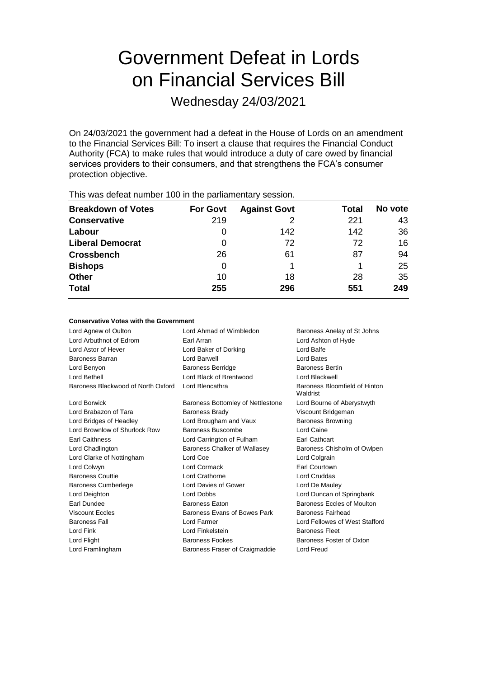# Government Defeat in Lords on Financial Services Bill

Wednesday 24/03/2021

On 24/03/2021 the government had a defeat in the House of Lords on an amendment to the Financial Services Bill: To insert a clause that requires the Financial Conduct Authority (FCA) to make rules that would introduce a duty of care owed by financial services providers to their consumers, and that strengthens the FCA's consumer protection objective.

| <b>Breakdown of Votes</b> | <b>For Govt</b> | <b>Against Govt</b> | Total | No vote |
|---------------------------|-----------------|---------------------|-------|---------|
| <b>Conservative</b>       | 219             |                     | 221   | 43      |
| Labour                    | O               | 142                 | 142   | 36      |
| <b>Liberal Democrat</b>   | 0               | 72                  | 72    | 16      |
| <b>Crossbench</b>         | 26              | 61                  | 87    | 94      |
| <b>Bishops</b>            | 0               |                     |       | 25      |
| <b>Other</b>              | 10              | 18                  | 28    | 35      |
| <b>Total</b>              | 255             | 296                 | 551   | 249     |
|                           |                 |                     |       |         |

This was defeat number 100 in the parliamentary session.

## **Conservative Votes with the Government**

| Lord Agnew of Oulton               | Lord Ahmad of Wimbledon<br>Baroness Anelay of St Johns |                                           |
|------------------------------------|--------------------------------------------------------|-------------------------------------------|
| Lord Arbuthnot of Edrom            | Earl Arran                                             | Lord Ashton of Hyde                       |
| Lord Astor of Hever                | Lord Baker of Dorking                                  | Lord Balfe                                |
| <b>Baroness Barran</b>             | Lord Barwell                                           | <b>Lord Bates</b>                         |
| Lord Benyon                        | <b>Baroness Berridge</b>                               | <b>Baroness Bertin</b>                    |
| Lord Bethell                       | Lord Black of Brentwood                                | Lord Blackwell                            |
| Baroness Blackwood of North Oxford | Lord Blencathra                                        | Baroness Bloomfield of Hinton<br>Waldrist |
| Lord Borwick                       | Baroness Bottomley of Nettlestone                      | Lord Bourne of Aberystwyth                |
| Lord Brabazon of Tara              | <b>Baroness Brady</b>                                  | Viscount Bridgeman                        |
| Lord Bridges of Headley            | Lord Brougham and Vaux                                 | <b>Baroness Browning</b>                  |
| Lord Brownlow of Shurlock Row      | Baroness Buscombe                                      | Lord Caine                                |
| <b>Earl Caithness</b>              | Lord Carrington of Fulham                              | <b>Earl Cathcart</b>                      |
| Lord Chadlington                   | Baroness Chalker of Wallasey                           | Baroness Chisholm of Owlpen               |
| Lord Clarke of Nottingham          | Lord Coe                                               | Lord Colgrain                             |
| Lord Colwyn                        | Lord Cormack                                           | <b>Earl Courtown</b>                      |
| <b>Baroness Couttie</b>            | Lord Crathorne                                         | <b>Lord Cruddas</b>                       |
| <b>Baroness Cumberlege</b>         | Lord Davies of Gower                                   | Lord De Mauley                            |
| Lord Deighton                      | <b>Lord Dobbs</b>                                      | Lord Duncan of Springbank                 |
| Earl Dundee                        | <b>Baroness Eaton</b>                                  | Baroness Eccles of Moulton                |
| <b>Viscount Eccles</b>             | Baroness Evans of Bowes Park                           | <b>Baroness Fairhead</b>                  |
| <b>Baroness Fall</b>               | Lord Farmer                                            | Lord Fellowes of West Stafford            |
| Lord Fink                          | Lord Finkelstein                                       | <b>Baroness Fleet</b>                     |
| Lord Flight                        | <b>Baroness Fookes</b>                                 | Baroness Foster of Oxton                  |
| Lord Framlingham                   | Baroness Fraser of Craigmaddie                         | <b>Lord Freud</b>                         |
|                                    |                                                        |                                           |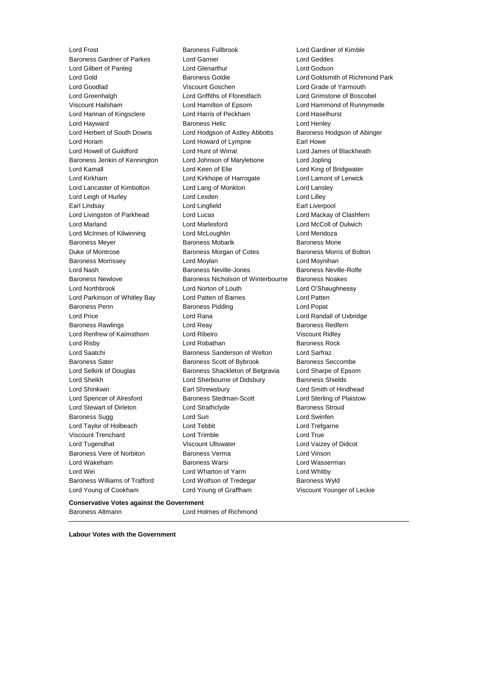Lord Frost Baroness Fullbrook Lord Gardiner of Kimble Baroness Gardner of Parkes Lord Garnier Lord Geddes Lord Gilbert of Panteg Lord Glenarthur Lord Godson Lord Gold Baroness Goldie Lord Goldsmith of Richmond Park Lord Goodlad Viscount Goschen Lord Grade of Yarmouth Lord Greenhalgh Lord Griffiths of Fforestfach Lord Grimstone of Boscobel Viscount Hailsham Lord Hamilton of Epsom Lord Hammond of Runnymede Lord Hannan of Kingsclere Lord Harris of Peckham Lord Haselhurst Lord Hayward **Baroness Helic** Lord Henley **Lord Henley** Lord Herbert of South Downs Lord Hodgson of Astley Abbotts Baroness Hodgson of Abinger Lord Horam **Lord Howard of Lympne** Earl Howe Lord Howell of Guildford Lord Hunt of Wirral Lord James of Blackheath Baroness Jenkin of Kennington Lord Johnson of Marylebone Lord Jopling Lord Kamall Lord Keen of Elie Lord King of Bridgwater Lord Kirkham Lord Kirkhope of Harrogate Lord Lamont of Lerwick Lord Lancaster of Kimbolton Lord Lang of Monkton Lord Lansley Lord Leigh of Hurley **Lord Lord Lexden** Lord Lord Lord Lilley Earl Lindsay Lord Lingfield Earl Liverpool Lord Livingston of Parkhead Lord Lucas Lord Mackay of Clashfern Lord Marland Lord Marlesford Lord McColl of Dulwich Lord McInnes of Kilwinning Lord McLoughlin Lord Mendoza Baroness Meyer **Baroness Mobarik** Baroness Mobarik Baroness Mone Duke of Montrose **Baroness Morgan of Cotes** Baroness Morris of Bolton Baroness Morrissey **Lord Moylan** Lord Moylan **Lord Moylan** Lord Moynihan Lord Nash Baroness Neville-Jones Baroness Neville-Rolfe Baroness Newlove Baroness Nicholson of Winterbourne Baroness Noakes Lord Northbrook Lord Norton of Louth Lord O'Shaughnessy Lord Parkinson of Whitley Bay Lord Patten of Barnes Lord Patten Baroness Penn Baroness Pidding Lord Popat Lord Price Lord Rana Lord Randall of Uxbridge Baroness Rawlings **Lord Reay Lord Reay Baroness Redfern** Lord Renfrew of Kaimsthorn Lord Ribeiro Viscount Ridley Lord Risby **Lord Robathan** Baroness Rock Lord Saatchi Baroness Sanderson of Welton Lord Sarfraz Baroness Sater **Baroness Scott of Bybrook** Baroness Seccombe Lord Selkirk of Douglas **Baroness Shackleton of Belgravia** Lord Sharpe of Epsom Lord Sheikh Lord Sherbourne of Didsbury Baroness Shields Lord Shinkwin Earl Shrewsbury Lord Smith of Hindhead Lord Spencer of Alresford **Baroness Stedman-Scott** Lord Sterling of Plaistow Lord Stewart of Dirleton **Lord Strathclyde** Baroness Stroud Baroness Sugg **Contains Contains Contains Contains Contains Contains Contains Contains Contains Contains Contains Contains Contains Contains Contains Contains Contains Contains Contains Contains Contains Contains Contains** Lord Taylor of Holbeach **Lord Tebbit** Lord Tensies Lord Trefgarne Viscount Trenchard Lord Trimble Lord True Lord Tugendhat **Night Communist Communist Viscount Ullswater** Mark Lord Vaizey of Didcot Baroness Vere of Norbiton Baroness Verma Lord Vinson Lord Wakeham Baroness Warsi Lord Wasserman Lord Wei **Lord Wharton of Yarm** Cord Whitby Baroness Williams of Trafford Lord Wolfson of Tredegar Baroness Wyld Lord Young of Cookham Lord Young of Graffham Viscount Younger of Leckie

### **Conservative Votes against the Government**

**Labour Votes with the Government**

Baroness Altmann Lord Holmes of Richmond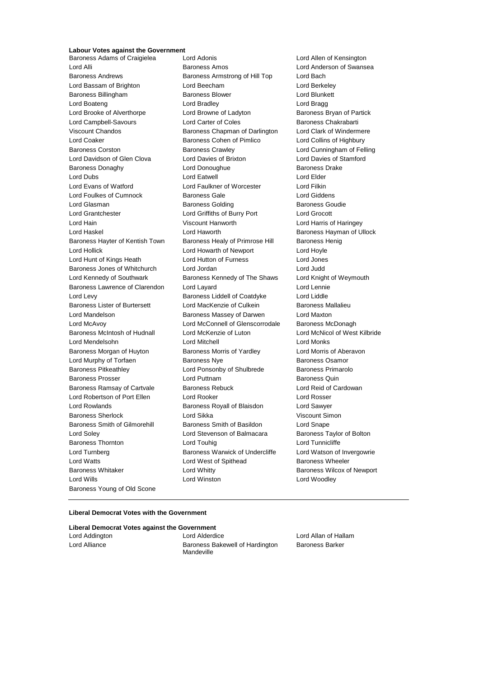# **Labour Votes against the Government**

Lord Bassam of Brighton Lord Beecham Baroness Young of Old Scone

Baroness Adams of Craigielea Lord Adonis Lord Allen of Kensington Lord Alli Baroness Amos Lord Anderson of Swansea Baroness Andrews **Baroness Armstrong of Hill Top** Lord Bach<br>
Lord Bassam of Brighton **Baroness Armstrong of Hill Top** Lord Berkeley Baroness Billingham Baroness Blower Lord Blunkett Lord Boateng **Lord Bradley** Lord Bradley **Lord Bragg** Lord Brooke of Alverthorpe Lord Browne of Ladyton Baroness Bryan of Partick Lord Campbell-Savours **Lord Carter of Coles** Baroness Chakrabarti Viscount Chandos **Baroness Chapman of Darlington** Lord Clark of Windermere Lord Coaker Baroness Cohen of Pimlico Lord Collins of Highbury Baroness Corston Baroness Crawley Lord Cunningham of Felling Lord Davidson of Glen Clova Lord Davies of Brixton Lord Davies of Stamford Baroness Donaghy **Lord Donoughue** Baroness Drake Lord Dubs Lord Eatwell Lord Elder Lord Evans of Watford Lord Faulkner of Worcester Lord Filkin Lord Foulkes of Cumnock Baroness Gale Lord Giddens Lord Glasman **Baroness Golding** Baroness Goudie Lord Grantchester Lord Griffiths of Burry Port Lord Grocott Lord Hain Viscount Hanworth Lord Harris of Haringey Lord Haskel Lord Haworth Baroness Hayman of Ullock Baroness Hayter of Kentish Town Baroness Healy of Primrose Hill Baroness Henig Lord Hollick Lord Howarth of Newport Lord Hoyle Lord Hunt of Kings Heath Lord Hutton of Furness Lord Jones Baroness Jones of Whitchurch Lord Jordan Lord Judd Lord Kennedy of Southwark Baroness Kennedy of The Shaws Lord Knight of Weymouth Baroness Lawrence of Clarendon Lord Layard Contract Lord Lennie Lord Levy Baroness Liddell of Coatdyke Lord Liddle Baroness Lister of Burtersett Lord MacKenzie of Culkein Baroness Mallalieu Lord Mandelson Baroness Massey of Darwen Lord Maxton Lord McAvoy Lord McConnell of Glenscorrodale Baroness McDonagh Baroness McIntosh of Hudnall Lord McKenzie of Luton Lord McNicol of West Kilbride Lord Mendelsohn Lord Mitchell Lord Monks Baroness Morgan of Huyton **Baroness Morris of Yardley** Lord Morris of Aberavon Lord Murphy of Torfaen **Baroness Nye** Baroness Osamor Baroness Pitkeathley **Lord Ponsonby of Shulbrede** Baroness Primarolo Baroness Prosser **Example 2** Lord Puttnam **Baroness Quin** Baroness Quin Baroness Ramsay of Cartvale Baroness Rebuck Lord Reid of Cardowan Lord Robertson of Port Ellen Lord Rooker Lord Rosser Lord Rowlands **Baroness Royall of Blaisdon** Lord Sawyer Baroness Sherlock Lord Sikka Viscount Simon Baroness Smith of Gilmorehill Baroness Smith of Basildon Lord Snape Lord Soley Lord Stevenson of Balmacara Baroness Taylor of Bolton Baroness Thornton **Lord Touhig Lord Touhig Lord Tunnicliffe** Lord Turnberg **Baroness Warwick of Undercliffe** Lord Watson of Invergowrie Lord Watts **Lord West of Spithead** Baroness Wheeler Baroness Whitaker **Lord Whitty Communist Communist Communist Communist Communist Communist Communist Communist Communist Communist Communist Communist Communist Communist Communist Communist Communist Communist Communist** Lord Wills Lord Winston Lord Woodley

#### **Liberal Democrat Votes with the Government**

| Liberal Democrat Votes against the Government |  |                     |
|-----------------------------------------------|--|---------------------|
| Lord Addington                                |  | <b>Lord Alderdi</b> |

Lord Alderdice **Lord Allan of Hallam** Lord Alliance **Baroness Bakewell of Hardington** Mandeville

Baroness Barker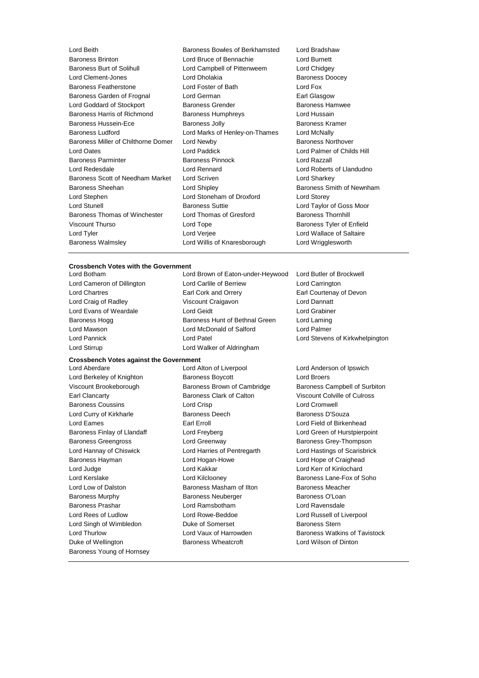| Lord Beith                          | Baroness Bowles of Berkhamsted | Lord Bradshaw              |  |
|-------------------------------------|--------------------------------|----------------------------|--|
| <b>Baroness Brinton</b>             | Lord Bruce of Bennachie        | Lord Burnett               |  |
| Baroness Burt of Solihull           | Lord Campbell of Pittenweem    | Lord Chidgey               |  |
| Lord Clement-Jones                  | Lord Dholakia                  | <b>Baroness Doocey</b>     |  |
| Baroness Featherstone               | Lord Foster of Bath            | Lord Fox                   |  |
| Baroness Garden of Frognal          | Lord German                    | Earl Glasgow               |  |
| Lord Goddard of Stockport           | <b>Baroness Grender</b>        | <b>Baroness Hamwee</b>     |  |
| Baroness Harris of Richmond         | Baroness Humphreys             | Lord Hussain               |  |
| <b>Baroness Hussein-Ece</b>         | <b>Baroness Jolly</b>          | Baroness Kramer            |  |
| <b>Baroness Ludford</b>             | Lord Marks of Henley-on-Thames | Lord McNally               |  |
| Baroness Miller of Chilthorne Domer | Lord Newby                     | <b>Baroness Northover</b>  |  |
| <b>Lord Oates</b>                   | Lord Paddick                   | Lord Palmer of Childs Hill |  |
| <b>Baroness Parminter</b>           | <b>Baroness Pinnock</b>        | Lord Razzall               |  |
| Lord Redesdale                      | Lord Rennard                   | Lord Roberts of Llandudno  |  |
| Baroness Scott of Needham Market    | Lord Scriven                   | Lord Sharkey               |  |
| Baroness Sheehan                    | Lord Shipley                   | Baroness Smith of Newnham  |  |
| Lord Stephen                        | Lord Stoneham of Droxford      | Lord Storey                |  |
| <b>Lord Stunell</b>                 | <b>Baroness Suttie</b>         | Lord Taylor of Goss Moor   |  |
| Baroness Thomas of Winchester       | Lord Thomas of Gresford        | <b>Baroness Thornhill</b>  |  |
| <b>Viscount Thurso</b>              | Lord Tope                      | Baroness Tyler of Enfield  |  |
| Lord Tyler                          | Lord Verjee                    | Lord Wallace of Saltaire   |  |
| <b>Baroness Walmsley</b>            | Lord Willis of Knaresborough   | Lord Wrigglesworth         |  |
|                                     |                                |                            |  |

#### **Crossbench Votes with the Government**

Lord Botham Lord Brown of Eaton-under-Heywood Lord Butler of Brockwell Lord Cameron of Dillington Lord Carlile of Berriew Lord Carrington Lord Chartres Earl Cork and Orrery Earl Courtenay of Devon Lord Craig of Radley Viscount Craigavon Lord Dannatt Lord Evans of Weardale Lord Geidt Lord Grabiner Baroness Hogg **Baroness Hunt of Bethnal Green** Lord Laming Lord Mawson Lord McDonald of Salford Lord Palmer Lord Pannick Lord Patel Lord Stevens of Kirkwhelpington Lord Stirrup **Lord Walker of Aldringham** 

**Crossbench Votes against the Government**

Lord Berkeley of Knighton Baroness Boycott Lord Broers Earl Clancarty Baroness Clark of Calton Viscount Colville of Culross Baroness Coussins Lord Crisp Lord Cromwell Lord Curry of Kirkharle **Baroness Deech** Baroness Deech Baroness D'Souza Lord Eames Earl Erroll Lord Field of Birkenhead Baroness Finlay of Llandaff **Lord Freyberg** Lord Green of Hurstpierpoint Baroness Greengross **Example 2** Lord Greenway **Baroness Grey-Thompson** Lord Hannay of Chiswick Lord Harries of Pentregarth Lord Hastings of Scarisbrick Baroness Hayman Lord Hogan-Howe Lord Hope of Craighead Lord Judge Lord Kakkar Lord Kerr of Kinlochard Lord Kerslake **Lord Kilclooney** Baroness Lane-Fox of Soho Lord Low of Dalston Baroness Masham of Ilton Baroness Meacher Baroness Murphy **Baroness Neuberger** Baroness O'Loan Baroness Prashar Lord Ramsbotham Lord Ravensdale Lord Rees of Ludlow **Lord Rowe-Beddoe Lord Russell of Liverpool** Lord Singh of Wimbledon **Duke of Somerset** Baroness Stern Duke of Wellington **Baroness Wheatcroft** Lord Wilson of Dinton Baroness Young of Hornsey

Lord Aberdare Lord Alton of Liverpool Lord Anderson of Ipswich

Viscount Brookeborough Baroness Brown of Cambridge Baroness Campbell of Surbiton Lord Thurlow **Lord Vaux of Harrowden** Baroness Watkins of Tavistock